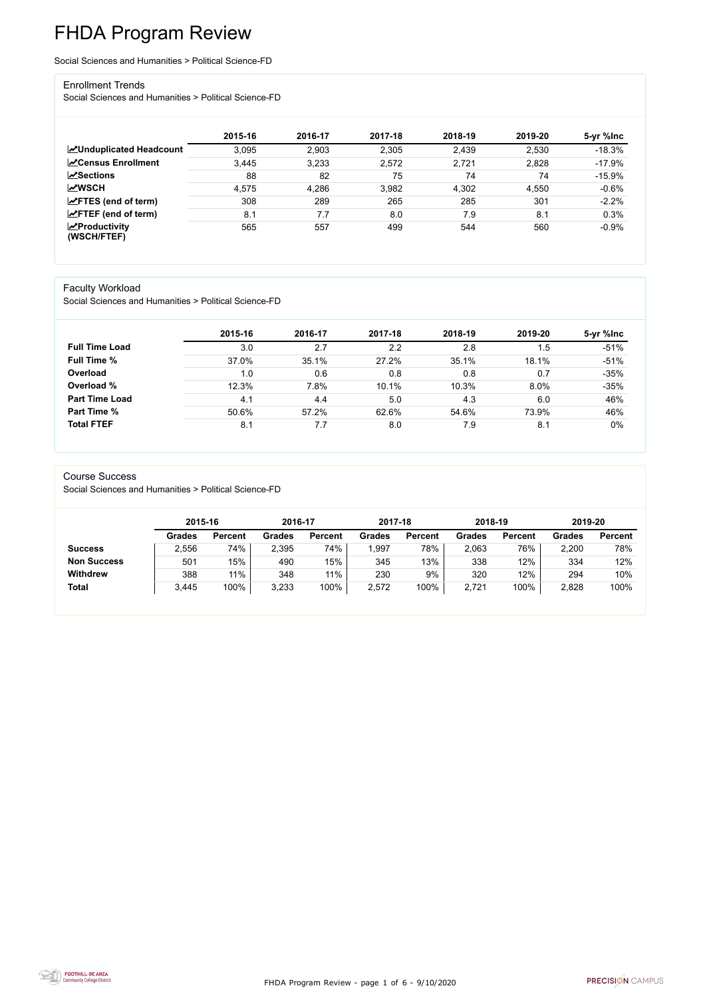FHDA Program Review - page 1 of 6 - 9/10/2020



# FHDA Program Review

Social Sciences and Humanities > Political Science-FD

#### Enrollment Trends

Social Sciences and Humanities > Political Science-FD

|                                          | 2015-16 | 2016-17 | 2017-18 | 2018-19 | 2019-20 | 5-yr %lnc |
|------------------------------------------|---------|---------|---------|---------|---------|-----------|
| <b>ZUnduplicated Headcount</b>           | 3.095   | 2,903   | 2,305   | 2,439   | 2,530   | $-18.3%$  |
| <b>∠</b> Census Enrollment               | 3,445   | 3,233   | 2,572   | 2,721   | 2,828   | $-17.9%$  |
| $\sqrt{S}$ ections                       | 88      | 82      | 75      | 74      | 74      | $-15.9%$  |
| <b>MWSCH</b>                             | 4,575   | 4,286   | 3,982   | 4,302   | 4,550   | $-0.6%$   |
| $\angle$ FTES (end of term)              | 308     | 289     | 265     | 285     | 301     | $-2.2%$   |
| $\mathsf{Z}$ FTEF (end of term)          | 8.1     | 7.7     | 8.0     | 7.9     | 8.1     | 0.3%      |
| $\mathbf{Z}$ Productivity<br>(WSCH/FTEF) | 565     | 557     | 499     | 544     | 560     | $-0.9%$   |

### Faculty Workload

Social Sciences and Humanities > Political Science-FD

|                       | 2015-16 | 2016-17 | 2017-18 | 2018-19 | 2019-20 | 5-yr %lnc |
|-----------------------|---------|---------|---------|---------|---------|-----------|
| <b>Full Time Load</b> | 3.0     | 2.7     | 2.2     | 2.8     | 1.5     | $-51%$    |
| <b>Full Time %</b>    | 37.0%   | 35.1%   | 27.2%   | 35.1%   | 18.1%   | $-51%$    |
| Overload              | 1.0     | 0.6     | 0.8     | 0.8     | 0.7     | $-35%$    |
| Overload %            | 12.3%   | 7.8%    | 10.1%   | 10.3%   | 8.0%    | $-35%$    |
| <b>Part Time Load</b> | 4.1     | 4.4     | 5.0     | 4.3     | 6.0     | 46%       |
| <b>Part Time %</b>    | 50.6%   | 57.2%   | 62.6%   | 54.6%   | 73.9%   | 46%       |
| <b>Total FTEF</b>     | 8.1     | 7.7     | 8.0     | 7.9     | 8.1     | 0%        |

#### Course Success

Social Sciences and Humanities > Political Science-FD

|                    |               | 2015-16        |               | 2016-17        | 2017-18       |                | 2018-19       |                | 2019-20       |                |
|--------------------|---------------|----------------|---------------|----------------|---------------|----------------|---------------|----------------|---------------|----------------|
|                    | <b>Grades</b> | <b>Percent</b> | <b>Grades</b> | <b>Percent</b> | <b>Grades</b> | <b>Percent</b> | <b>Grades</b> | <b>Percent</b> | <b>Grades</b> | <b>Percent</b> |
| <b>Success</b>     | 2,556         | 74%            | 2,395         | 74%            | ,997          | 78%            | 2,063         | 76%            | 2,200         | 78%            |
| <b>Non Success</b> | 501           | 15%            | 490           | 15%            | 345           | 13%            | 338           | 12%            | 334           | 12%            |
| <b>Withdrew</b>    | 388           | 11%            | 348           | 11%            | 230           | 9%             | 320           | 12%            | 294           | 10%            |
| <b>Total</b>       | 3,445         | 100%           | 3,233         | 100%           | 2,572         | 100%           | 2,721         | 100%           | 2,828         | 100%           |

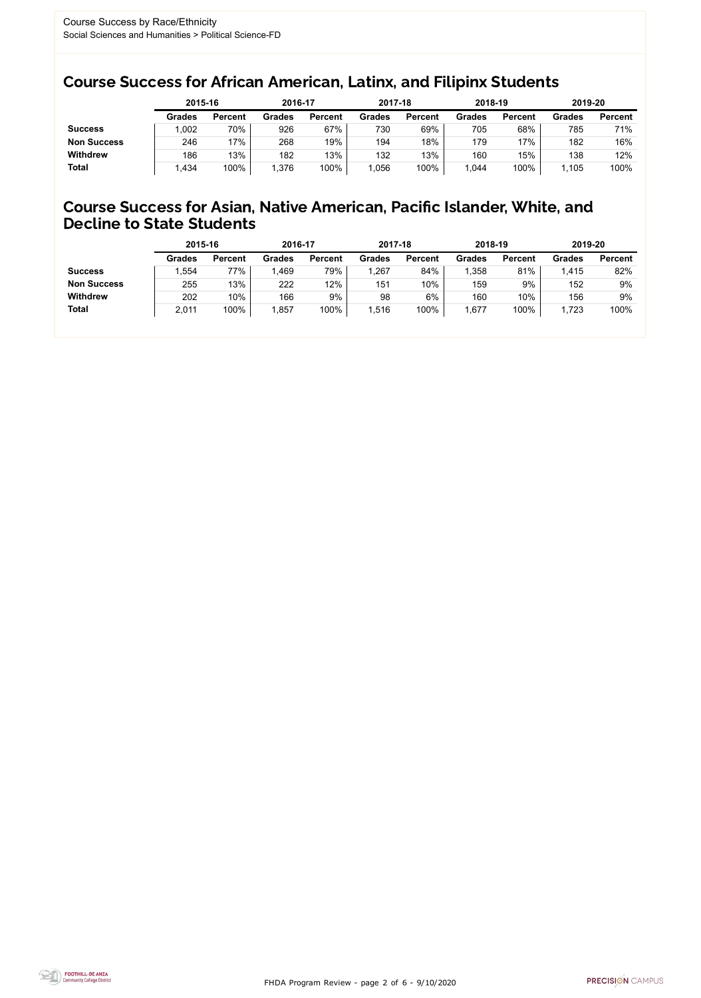FHDA Program Review - page 2 of 6 - 9/10/2020



### Course Success for African American, Latinx, and Filipinx Students

### Course Success for Asian, Native American, Pacific Islander, White, and Decline to State Students

|                    | 2015-16       |                | 2016-17       |                | 2017-18       |                | 2018-19       |                | 2019-20       |                |
|--------------------|---------------|----------------|---------------|----------------|---------------|----------------|---------------|----------------|---------------|----------------|
|                    | <b>Grades</b> | <b>Percent</b> | <b>Grades</b> | <b>Percent</b> | <b>Grades</b> | <b>Percent</b> | <b>Grades</b> | <b>Percent</b> | <b>Grades</b> | <b>Percent</b> |
| <b>Success</b>     | ,002          | 70%            | 926           | 67%            | 730           | 69%            | 705           | 68%            | 785           | 71%            |
| <b>Non Success</b> | 246           | 17%            | 268           | 19%            | 194           | 18%            | 179           | 17%            | 182           | 16%            |
| <b>Withdrew</b>    | 186           | 13%            | 182           | 13%            | 132           | 13%            | 160           | 15%            | 138           | 12%            |
| <b>Total</b>       | .434          | 100%           | .376          | 100%           | 1,056         | 100%           | .044          | 100%           | 1.105         | 100%           |

|                    | 2015-16       |                | 2016-17       |                | 2017-18       |                | 2018-19       |                | 2019-20       |                |
|--------------------|---------------|----------------|---------------|----------------|---------------|----------------|---------------|----------------|---------------|----------------|
|                    | <b>Grades</b> | <b>Percent</b> | <b>Grades</b> | <b>Percent</b> | <b>Grades</b> | <b>Percent</b> | <b>Grades</b> | <b>Percent</b> | <b>Grades</b> | <b>Percent</b> |
| <b>Success</b>     | ,554          | 77%            | 1,469         | 79%            | 1,267         | 84%            | ,358          | 81%            | 1,415         | 82%            |
| <b>Non Success</b> | 255           | 13%            | 222           | 12%            | 151           | $10\%$         | 159           | 9%             | 152           | 9%             |
| <b>Withdrew</b>    | 202           | 10%            | 166           | 9%             | 98            | 6%             | 160           | 10%            | 156           | 9%             |
| <b>Total</b>       | 2,011         | 100%           | ,857          | 100%           | 1,516         | 100%           | ,677          | 100%           | 1,723         | 100%           |
|                    |               |                |               |                |               |                |               |                |               |                |

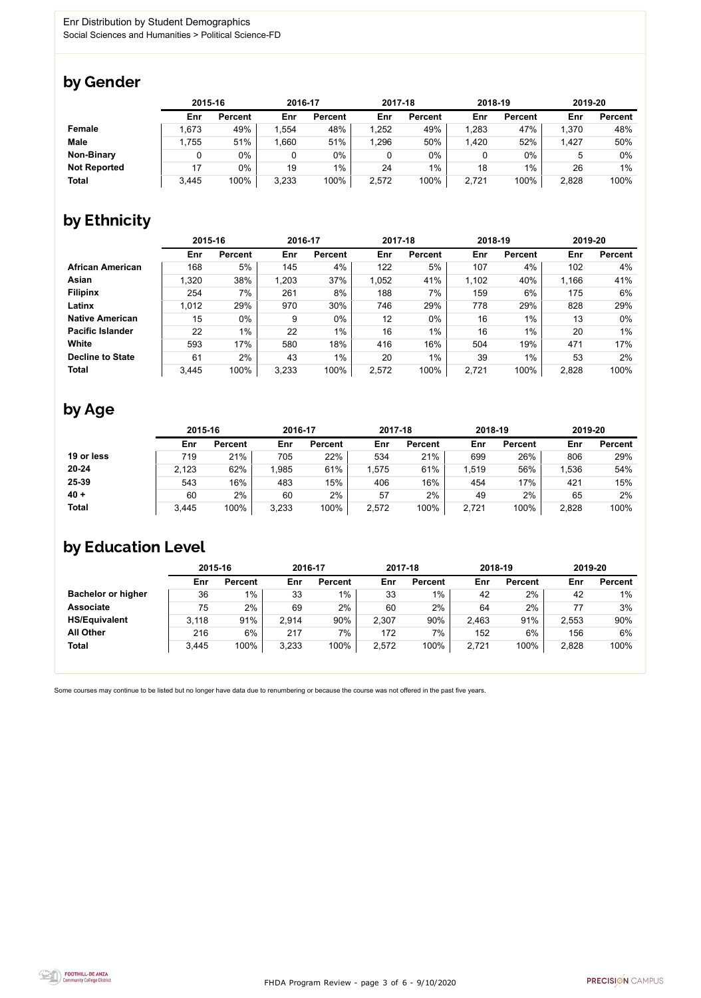FHDA Program Review - page 3 of 6 - 9/10/2020



Some courses may continue to be listed but no longer have data due to renumbering or because the course was not offered in the past five years.



### by Gender

|                     | 2015-16 |                |       | 2016-17        |       | 2017-18        | 2018-19 |                | 2019-20 |                |
|---------------------|---------|----------------|-------|----------------|-------|----------------|---------|----------------|---------|----------------|
|                     | Enr     | <b>Percent</b> | Enr   | <b>Percent</b> | Enr   | <b>Percent</b> | Enr     | <b>Percent</b> | Enr     | <b>Percent</b> |
| <b>Female</b>       | .673    | 49%            | .554  | 48%            | 1,252 | 49%            | 1,283   | 47%            | 1,370   | 48%            |
| <b>Male</b>         | 1,755   | 51%            | .660  | 51%            | 1,296 | 50%            | 1,420   | 52%            | 1,427   | 50%            |
| <b>Non-Binary</b>   |         | 0%             |       | $0\%$          |       | $0\%$          |         | $0\%$          |         | 0%             |
| <b>Not Reported</b> | 17      | 0%             | 19    | $1\%$          | 24    | $1\%$          | 18      | 1%             | 26      | 1%             |
| <b>Total</b>        | 3,445   | 100%           | 3,233 | 100%           | 2,572 | 100%           | 2,721   | 100%           | 2,828   | 100%           |

## by Ethnicity

|                         |       | 2015-16        |       | 2016-17        |       | 2017-18        | 2018-19 |                | 2019-20 |                |
|-------------------------|-------|----------------|-------|----------------|-------|----------------|---------|----------------|---------|----------------|
|                         | Enr   | <b>Percent</b> | Enr   | <b>Percent</b> | Enr   | <b>Percent</b> | Enr     | <b>Percent</b> | Enr     | <b>Percent</b> |
| <b>African American</b> | 168   | 5%             | 145   | 4%             | 122   | 5%             | 107     | 4%             | 102     | 4%             |
| <b>Asian</b>            | 1,320 | 38%            | 1,203 | 37%            | 1,052 | 41%            | 1,102   | 40%            | 1,166   | 41%            |
| <b>Filipinx</b>         | 254   | 7%             | 261   | 8%             | 188   | 7%             | 159     | 6%             | 175     | 6%             |
| Latinx                  | 1,012 | 29%            | 970   | 30%            | 746   | 29%            | 778     | 29%            | 828     | 29%            |
| <b>Native American</b>  | 15    | $0\%$          | 9     | $0\%$          | 12    | $0\%$          | 16      | $1\%$          | 13      | $0\%$          |
| <b>Pacific Islander</b> | 22    | $1\%$          | 22    | $1\%$          | 16    | $1\%$          | 16      | $1\%$          | 20      | 1%             |
| White                   | 593   | 17%            | 580   | 18%            | 416   | 16%            | 504     | 19%            | 471     | 17%            |
| <b>Decline to State</b> | 61    | 2%             | 43    | $1\%$          | 20    | $1\%$          | 39      | $1\%$          | 53      | 2%             |
| <b>Total</b>            | 3,445 | 100%           | 3,233 | 100%           | 2,572 | 100%           | 2,721   | 100%           | 2,828   | 100%           |

## by Age

|              | 2015-16 |                | 2016-17 |                | 2017-18 |                | 2018-19 |                | 2019-20 |                |
|--------------|---------|----------------|---------|----------------|---------|----------------|---------|----------------|---------|----------------|
|              | Enr     | <b>Percent</b> | Enr     | <b>Percent</b> | Enr     | <b>Percent</b> | Enr     | <b>Percent</b> | Enr     | <b>Percent</b> |
| 19 or less   | 719     | 21%            | 705     | 22%            | 534     | 21%            | 699     | 26%            | 806     | 29%            |
| $20 - 24$    | 2,123   | 62%            | l,985   | 61%            | .575    | 61%            | ,519    | 56%            | 1,536   | 54%            |
| 25-39        | 543     | 16%            | 483     | 15%            | 406     | 16%            | 454     | 17%            | 421     | 15%            |
| $40 +$       | 60      | 2%             | 60      | 2%             | 57      | 2%             | 49      | 2%             | 65      | 2%             |
| <b>Total</b> | 3,445   | 100%           | 3,233   | 100%           | 2,572   | 100%           | 2,721   | 100%           | 2,828   | 100%           |

### by Education Level

|                           | 2015-16 |                |       | 2016-17        |       | 2017-18        | 2018-19 |                | 2019-20 |                |
|---------------------------|---------|----------------|-------|----------------|-------|----------------|---------|----------------|---------|----------------|
|                           | Enr     | <b>Percent</b> | Enr   | <b>Percent</b> | Enr   | <b>Percent</b> | Enr     | <b>Percent</b> | Enr     | <b>Percent</b> |
| <b>Bachelor or higher</b> | 36      | $1\%$          | 33    | $1\%$          | 33    | $1\%$          | 42      | 2%             | 42      | $1\%$          |
| <b>Associate</b>          | 75      | $2\%$          | 69    | 2%             | 60    | 2%             | 64      | 2%             |         | 3%             |
| <b>HS/Equivalent</b>      | 3,118   | 91%            | 2,914 | 90%            | 2,307 | 90%            | 2,463   | 91%            | 2,553   | 90%            |
| <b>All Other</b>          | 216     | 6%             | 217   | 7%             | 172   | 7%             | 152     | 6%             | 156     | 6%             |
| <b>Total</b>              | 3,445   | 100%           | 3,233 | 100%           | 2,572 | 100%           | 2,721   | 100%           | 2,828   | 100%           |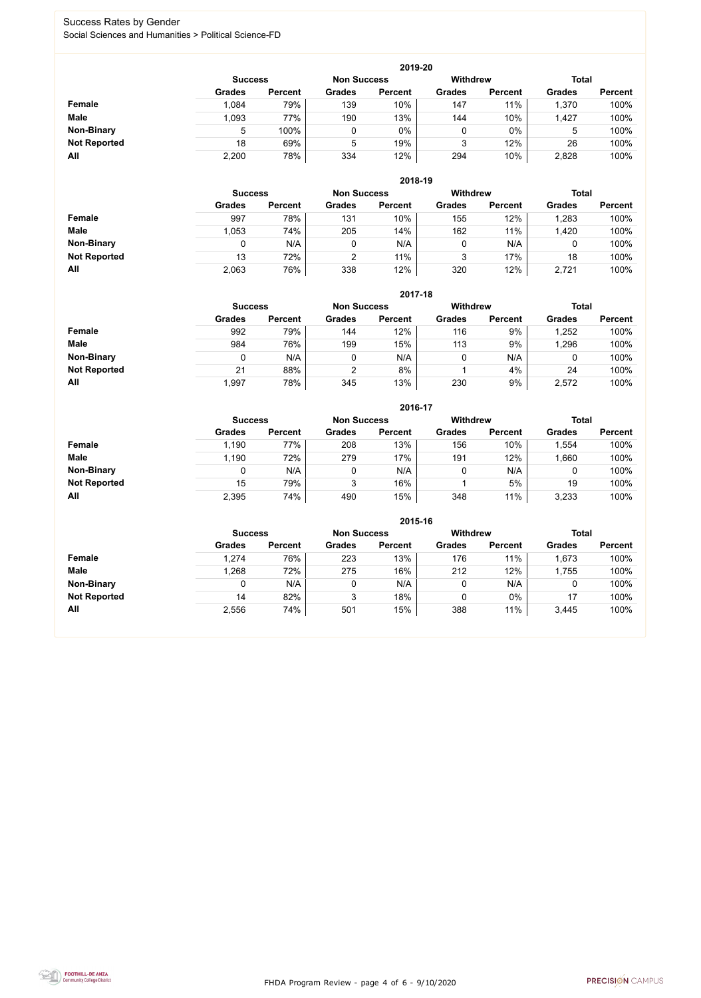FHDA Program Review - page 4 of 6 - 9/10/2020



#### Success Rates by Gender Social Sciences and Humanities > Political Science-FD

|                     |                | 2019-20        |                    |                |                 |                |               |                |  |  |  |  |  |
|---------------------|----------------|----------------|--------------------|----------------|-----------------|----------------|---------------|----------------|--|--|--|--|--|
|                     | <b>Success</b> |                | <b>Non Success</b> |                | <b>Withdrew</b> |                | <b>Total</b>  |                |  |  |  |  |  |
|                     | <b>Grades</b>  | <b>Percent</b> | <b>Grades</b>      | <b>Percent</b> | <b>Grades</b>   | <b>Percent</b> | <b>Grades</b> | <b>Percent</b> |  |  |  |  |  |
| Female              | 1,084          | 79%            | 139                | 10%            | 147             | 11%            | 1,370         | 100%           |  |  |  |  |  |
| <b>Male</b>         | 1,093          | 77%            | 190                | 13%            | 144             | 10%            | 1,427         | 100%           |  |  |  |  |  |
| <b>Non-Binary</b>   | 5              | 100%           |                    | $0\%$          | 0               | $0\%$          | 5             | 100%           |  |  |  |  |  |
| <b>Not Reported</b> | 18             | 69%            | 5                  | 19%            | 3               | 12%            | 26            | 100%           |  |  |  |  |  |
| All                 | 2,200          | 78%            | 334                | 12%            | 294             | 10%            | 2,828         | 100%           |  |  |  |  |  |

|                     |               | 2018-19                              |               |                |               |                 |               |                |  |  |  |  |  |
|---------------------|---------------|--------------------------------------|---------------|----------------|---------------|-----------------|---------------|----------------|--|--|--|--|--|
|                     |               | <b>Non Success</b><br><b>Success</b> |               |                |               | <b>Withdrew</b> | <b>Total</b>  |                |  |  |  |  |  |
|                     | <b>Grades</b> | <b>Percent</b>                       | <b>Grades</b> | <b>Percent</b> | <b>Grades</b> | <b>Percent</b>  | <b>Grades</b> | <b>Percent</b> |  |  |  |  |  |
| Female              | 997           | 78%                                  | 131           | 10%            | 155           | 12%             | 1,283         | 100%           |  |  |  |  |  |
| <b>Male</b>         | 1,053         | 74%                                  | 205           | 14%            | 162           | 11%             | 1,420         | 100%           |  |  |  |  |  |
| <b>Non-Binary</b>   |               | N/A                                  | u             | N/A            |               | N/A             |               | 100%           |  |  |  |  |  |
| <b>Not Reported</b> | 13            | 72%                                  | າ             | 11%            | 3             | 17%             | 18            | 100%           |  |  |  |  |  |
| All                 | 2,063         | 76%                                  | 338           | 12%            | 320           | 12%             | 2,721         | 100%           |  |  |  |  |  |

|                     | 2017-18       |                                                                         |                |                |               |                |               |                |  |  |  |  |
|---------------------|---------------|-------------------------------------------------------------------------|----------------|----------------|---------------|----------------|---------------|----------------|--|--|--|--|
|                     |               | <b>Withdrew</b><br><b>Total</b><br><b>Non Success</b><br><b>Success</b> |                |                |               |                |               |                |  |  |  |  |
|                     | <b>Grades</b> | <b>Percent</b>                                                          | <b>Grades</b>  | <b>Percent</b> | <b>Grades</b> | <b>Percent</b> | <b>Grades</b> | <b>Percent</b> |  |  |  |  |
| <b>Female</b>       | 992           | 79%                                                                     | 144            | 12%            | 116           | 9%             | ,252          | 100%           |  |  |  |  |
| <b>Male</b>         | 984           | 76%                                                                     | 199            | 15%            | 113           | 9%             | ,296          | 100%           |  |  |  |  |
| <b>Non-Binary</b>   | 0             | N/A                                                                     |                | N/A            | 0             | N/A            | υ             | 100%           |  |  |  |  |
| <b>Not Reported</b> | 21            | 88%                                                                     | $\overline{2}$ | 8%             |               | 4%             | 24            | 100%           |  |  |  |  |
| All                 | 1,997         | 78%                                                                     | 345            | 13%            | 230           | 9%             | 2,572         | 100%           |  |  |  |  |

|                     |               |                |               | 2016-17        |               |                 |               |                |
|---------------------|---------------|----------------|---------------|----------------|---------------|-----------------|---------------|----------------|
|                     |               | <b>Success</b> |               |                |               | <b>Withdrew</b> |               | <b>Total</b>   |
|                     | <b>Grades</b> | <b>Percent</b> | <b>Grades</b> | <b>Percent</b> | <b>Grades</b> | <b>Percent</b>  | <b>Grades</b> | <b>Percent</b> |
| <b>Female</b>       | 1,190         | 77%            | 208           | 13%            | 156           | 10%             | ,554          | 100%           |
| <b>Male</b>         | 1,190         | 72%            | 279           | 17%            | 191           | 12%             | ,660          | 100%           |
| <b>Non-Binary</b>   | 0             | N/A            |               | N/A            | 0             | N/A             | 0             | 100%           |
| <b>Not Reported</b> | 15            | 79%            | 3             | 16%            |               | 5%              | 19            | 100%           |
| All                 | 2,395         | 74%            | 490           | 15%            | 348           | 11%             | 3,233         | 100%           |

|                     |                                      | 2015-16        |               |                |                 |                |               |                |  |  |
|---------------------|--------------------------------------|----------------|---------------|----------------|-----------------|----------------|---------------|----------------|--|--|
|                     | <b>Non Success</b><br><b>Success</b> |                |               |                | <b>Withdrew</b> |                | <b>Total</b>  |                |  |  |
|                     | <b>Grades</b>                        | <b>Percent</b> | <b>Grades</b> | <b>Percent</b> | <b>Grades</b>   | <b>Percent</b> | <b>Grades</b> | <b>Percent</b> |  |  |
| Female              | 1,274                                | 76%            | 223           | 13%            | 176             | 11%            | 1,673         | 100%           |  |  |
| <b>Male</b>         | 1,268                                | 72%            | 275           | 16%            | 212             | 12%            | 1,755         | 100%           |  |  |
| <b>Non-Binary</b>   |                                      | N/A            | 0             | N/A            |                 | N/A            | 0             | 100%           |  |  |
| <b>Not Reported</b> | 14                                   | 82%            | 3             | 18%            |                 | 0%             | 17            | 100%           |  |  |
| All                 | 2,556                                | 74%            | 501           | 15%            | 388             | 11%            | 3,445         | 100%           |  |  |

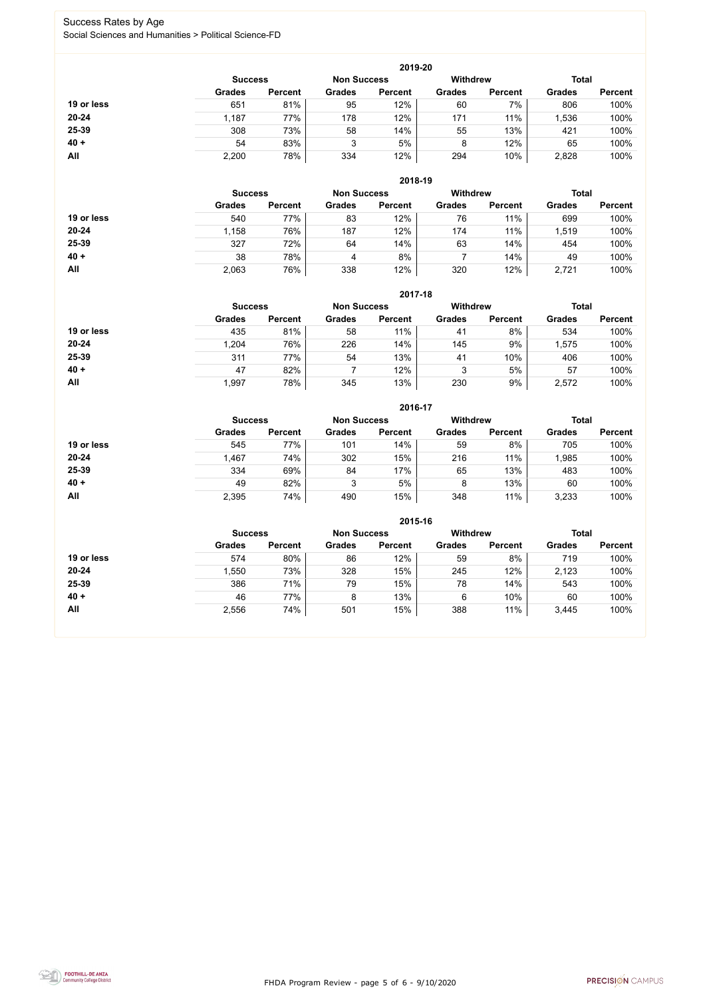FHDA Program Review - page 5 of 6 - 9/10/2020



### Success Rates by Age Social Sciences and Humanities > Political Science-FD

|            | 2019-20        |                    |               |                 |               |                |               |                |  |  |
|------------|----------------|--------------------|---------------|-----------------|---------------|----------------|---------------|----------------|--|--|
|            | <b>Success</b> | <b>Non Success</b> |               | <b>Withdrew</b> |               | <b>Total</b>   |               |                |  |  |
|            | <b>Grades</b>  | <b>Percent</b>     | <b>Grades</b> | <b>Percent</b>  | <b>Grades</b> | <b>Percent</b> | <b>Grades</b> | <b>Percent</b> |  |  |
| 19 or less | 651            | 81%                | 95            | 12%             | 60            | 7%             | 806           | 100%           |  |  |
| 20-24      | 1,187          | 77%                | 178           | 12%             | 171           | 11%            | ,536          | 100%           |  |  |
| 25-39      | 308            | 73%                | 58            | 14%             | 55            | 13%            | 421           | 100%           |  |  |
| $40 +$     | 54             | 83%                | 3             | 5%              | 8             | 12%            | 65            | 100%           |  |  |
| All        | 2,200          | 78%                | 334           | 12%             | 294           | 10%            | 2,828         | 100%           |  |  |

|            |                |                    |               | 2018-19         |               |                |               |                |
|------------|----------------|--------------------|---------------|-----------------|---------------|----------------|---------------|----------------|
|            | <b>Success</b> | <b>Non Success</b> |               | <b>Withdrew</b> |               | <b>Total</b>   |               |                |
|            | <b>Grades</b>  | <b>Percent</b>     | <b>Grades</b> | <b>Percent</b>  | <b>Grades</b> | <b>Percent</b> | <b>Grades</b> | <b>Percent</b> |
| 19 or less | 540            | 77%                | 83            | 12%             | 76            | 11%            | 699           | 100%           |
| $20 - 24$  | 1,158          | 76%                | 187           | 12%             | 174           | 11%            | 1,519         | 100%           |
| 25-39      | 327            | 72%                | 64            | 14%             | 63            | 14%            | 454           | 100%           |
| $40 +$     | 38             | 78%                | 4             | 8%              |               | 14%            | 49            | 100%           |
| All        | 2,063          | 76%                | 338           | 12%             | 320           | 12%            | 2,721         | 100%           |

|            |                                      |                |               | 2017-18        |                 |                |               |                |
|------------|--------------------------------------|----------------|---------------|----------------|-----------------|----------------|---------------|----------------|
|            | <b>Non Success</b><br><b>Success</b> |                |               |                | <b>Withdrew</b> |                | <b>Total</b>  |                |
|            | <b>Grades</b>                        | <b>Percent</b> | <b>Grades</b> | <b>Percent</b> | <b>Grades</b>   | <b>Percent</b> | <b>Grades</b> | <b>Percent</b> |
| 19 or less | 435                                  | 81%            | 58            | 11%            | 41              | 8%             | 534           | 100%           |
| $20 - 24$  | 1,204                                | 76%            | 226           | 14%            | 145             | 9%             | ,575          | 100%           |
| 25-39      | 311                                  | 77%            | 54            | 13%            | 41              | 10%            | 406           | 100%           |
| $40 +$     | 47                                   | 82%            |               | 12%            | 3               | 5%             | 57            | 100%           |
| <b>All</b> | 1,997                                | 78%            | 345           | 13%            | 230             | 9%             | 2,572         | 100%           |

|            |                |                |               | 2016-17            |                 |                |               |                |
|------------|----------------|----------------|---------------|--------------------|-----------------|----------------|---------------|----------------|
|            | <b>Success</b> |                |               | <b>Non Success</b> | <b>Withdrew</b> |                | <b>Total</b>  |                |
|            | <b>Grades</b>  | <b>Percent</b> | <b>Grades</b> | <b>Percent</b>     | <b>Grades</b>   | <b>Percent</b> | <b>Grades</b> | <b>Percent</b> |
| 19 or less | 545            | 77%            | 101           | 14%                | 59              | 8%             | 705           | 100%           |
| $20 - 24$  | 1,467          | 74%            | 302           | 15%                | 216             | 11%            | ,985          | 100%           |
| 25-39      | 334            | 69%            | 84            | 17%                | 65              | 13%            | 483           | 100%           |
| $40 +$     | 49             | 82%            | 3             | 5%                 | 8               | 13%            | 60            | 100%           |
| All        | 2,395          | 74%            | 490           | 15%                | 348             | 11%            | 3,233         | 100%           |

|            | 2015-16        |                |                    |                |                 |                |               |                |  |  |
|------------|----------------|----------------|--------------------|----------------|-----------------|----------------|---------------|----------------|--|--|
|            | <b>Success</b> |                | <b>Non Success</b> |                | <b>Withdrew</b> |                | <b>Total</b>  |                |  |  |
|            | <b>Grades</b>  | <b>Percent</b> | <b>Grades</b>      | <b>Percent</b> | <b>Grades</b>   | <b>Percent</b> | <b>Grades</b> | <b>Percent</b> |  |  |
| 19 or less | 574            | 80%            | 86                 | 12%            | 59              | 8%             | 719           | 100%           |  |  |
| $20 - 24$  | 1,550          | 73%            | 328                | 15%            | 245             | 12%            | 2,123         | 100%           |  |  |
| 25-39      | 386            | 71%            | 79                 | 15%            | 78              | 14%            | 543           | 100%           |  |  |
| $40 +$     | 46             | 77%            | 8                  | 13%            | 6               | 10%            | 60            | 100%           |  |  |
| All        | 2,556          | 74%            | 501                | 15%            | 388             | 11%            | 3,445         | 100%           |  |  |